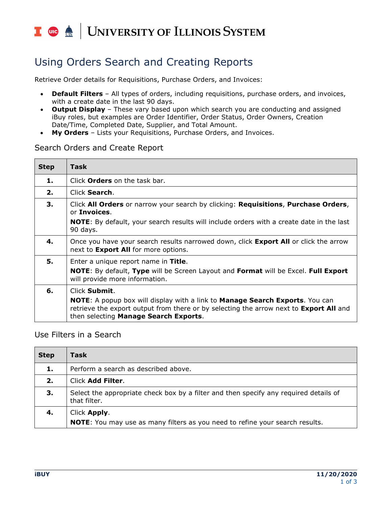#### $\frac{1}{\sqrt{10}}$  or  $\frac{1}{\sqrt{10}}$ UNIVERSITY OF ILLINOIS SYSTEM

# Using Orders Search and Creating Reports

Retrieve Order details for Requisitions, Purchase Orders, and Invoices:

- **Default Filters**  All types of orders, including requisitions, purchase orders, and invoices, with a create date in the last 90 days.
- **Output Display**  These vary based upon which search you are conducting and assigned iBuy roles, but examples are Order Identifier, Order Status, Order Owners, Creation Date/Time, Completed Date, Supplier, and Total Amount.
- **My Orders** Lists your Requisitions, Purchase Orders, and Invoices.

#### Search Orders and Create Report

| <b>Step</b> | <b>Task</b>                                                                                                                                                                                                                           |
|-------------|---------------------------------------------------------------------------------------------------------------------------------------------------------------------------------------------------------------------------------------|
| 1.          | Click <b>Orders</b> on the task bar.                                                                                                                                                                                                  |
| 2.          | Click <b>Search</b> .                                                                                                                                                                                                                 |
| 3.          | Click All Orders or narrow your search by clicking: Requisitions, Purchase Orders,<br>or Invoices.                                                                                                                                    |
|             | <b>NOTE:</b> By default, your search results will include orders with a create date in the last<br>90 days.                                                                                                                           |
| 4.          | Once you have your search results narrowed down, click <b>Export All</b> or click the arrow<br>next to <b>Export All</b> for more options.                                                                                            |
| 5.          | Enter a unique report name in Title.                                                                                                                                                                                                  |
|             | <b>NOTE:</b> By default, Type will be Screen Layout and Format will be Excel. Full Export<br>will provide more information.                                                                                                           |
| 6.          | Click Submit.                                                                                                                                                                                                                         |
|             | <b>NOTE:</b> A popup box will display with a link to <b>Manage Search Exports</b> . You can<br>retrieve the export output from there or by selecting the arrow next to <b>Export All</b> and<br>then selecting Manage Search Exports. |

#### Use Filters in a Search

| <b>Step</b> | Task                                                                                                  |
|-------------|-------------------------------------------------------------------------------------------------------|
| 1.          | Perform a search as described above.                                                                  |
| 2.          | Click Add Filter.                                                                                     |
| З.          | Select the appropriate check box by a filter and then specify any required details of<br>that filter. |
| 4.          | Click Apply.<br><b>NOTE:</b> You may use as many filters as you need to refine your search results.   |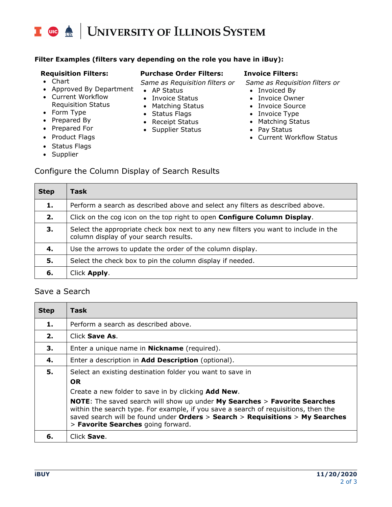#### UNIVERSITY OF ILLINOIS SYSTEM T due <u>de</u>

#### **Filter Examples (filters vary depending on the role you have in iBuy):**

#### **Requisition Filters:**

• Chart

#### **Purchase Order Filters:**

- 
- Approved By Department
- Current Workflow Requisition Status
- Form Type
- Prepared By
- Prepared For
- Product Flags
- Status Flags
- 
- Supplier
- *Same as Requisition filters or*
- AP Status
- Invoice Status
- Matching Status
- Status Flags
- Receipt Status
- Supplier Status

#### **Invoice Filters:**

*Same as Requisition filters or*

- Invoiced By
- Invoice Owner
- Invoice Source
- Invoice Type
- Matching Status
- Pay Status
- Current Workflow Status

### Configure the Column Display of Search Results

| <b>Step</b> | <b>Task</b>                                                                                                                   |
|-------------|-------------------------------------------------------------------------------------------------------------------------------|
| 1.          | Perform a search as described above and select any filters as described above.                                                |
| 2.          | Click on the cog icon on the top right to open <b>Configure Column Display</b> .                                              |
| 3.          | Select the appropriate check box next to any new filters you want to include in the<br>column display of your search results. |
| 4.          | Use the arrows to update the order of the column display.                                                                     |
| 5.          | Select the check box to pin the column display if needed.                                                                     |
| 6.          | Click Apply.                                                                                                                  |

#### Save a Search

| <b>Step</b> | Task                                                                                                                                                                                                                                                                                                 |
|-------------|------------------------------------------------------------------------------------------------------------------------------------------------------------------------------------------------------------------------------------------------------------------------------------------------------|
| 1.          | Perform a search as described above.                                                                                                                                                                                                                                                                 |
| 2.          | Click Save As.                                                                                                                                                                                                                                                                                       |
| З.          | Enter a unique name in <b>Nickname</b> (required).                                                                                                                                                                                                                                                   |
| 4.          | Enter a description in Add Description (optional).                                                                                                                                                                                                                                                   |
| 5.          | Select an existing destination folder you want to save in                                                                                                                                                                                                                                            |
|             | <b>OR</b>                                                                                                                                                                                                                                                                                            |
|             | Create a new folder to save in by clicking <b>Add New</b> .                                                                                                                                                                                                                                          |
|             | <b>NOTE:</b> The saved search will show up under My Searches > Favorite Searches<br>within the search type. For example, if you save a search of requisitions, then the<br>saved search will be found under Orders $>$ Search $>$ Requisitions $>$ My Searches<br>> Favorite Searches going forward. |
| 6.          | Click Save.                                                                                                                                                                                                                                                                                          |